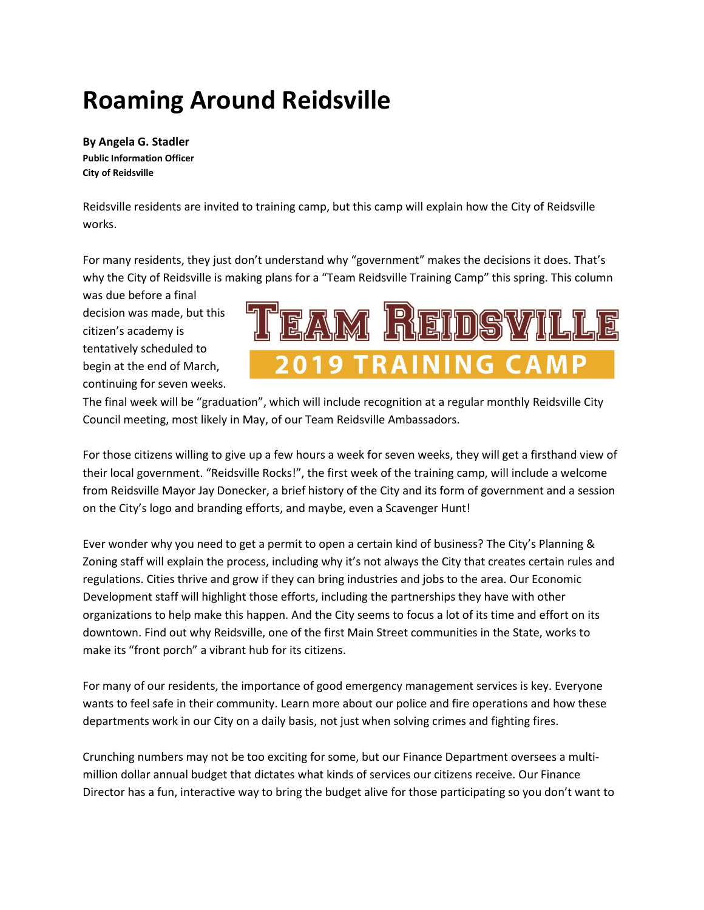## **Roaming Around Reidsville**

**By Angela G. Stadler Public Information Officer City of Reidsville**

Reidsville residents are invited to training camp, but this camp will explain how the City of Reidsville works.

For many residents, they just don't understand why "government" makes the decisions it does. That's why the City of Reidsville is making plans for a "Team Reidsville Training Camp" this spring. This column

was due before a final decision was made, but this citizen's academy is tentatively scheduled to begin at the end of March, continuing for seven weeks.



The final week will be "graduation", which will include recognition at a regular monthly Reidsville City Council meeting, most likely in May, of our Team Reidsville Ambassadors.

For those citizens willing to give up a few hours a week for seven weeks, they will get a firsthand view of their local government. "Reidsville Rocks!", the first week of the training camp, will include a welcome from Reidsville Mayor Jay Donecker, a brief history of the City and its form of government and a session on the City's logo and branding efforts, and maybe, even a Scavenger Hunt!

Ever wonder why you need to get a permit to open a certain kind of business? The City's Planning & Zoning staff will explain the process, including why it's not always the City that creates certain rules and regulations. Cities thrive and grow if they can bring industries and jobs to the area. Our Economic Development staff will highlight those efforts, including the partnerships they have with other organizations to help make this happen. And the City seems to focus a lot of its time and effort on its downtown. Find out why Reidsville, one of the first Main Street communities in the State, works to make its "front porch" a vibrant hub for its citizens.

For many of our residents, the importance of good emergency management services is key. Everyone wants to feel safe in their community. Learn more about our police and fire operations and how these departments work in our City on a daily basis, not just when solving crimes and fighting fires.

Crunching numbers may not be too exciting for some, but our Finance Department oversees a multimillion dollar annual budget that dictates what kinds of services our citizens receive. Our Finance Director has a fun, interactive way to bring the budget alive for those participating so you don't want to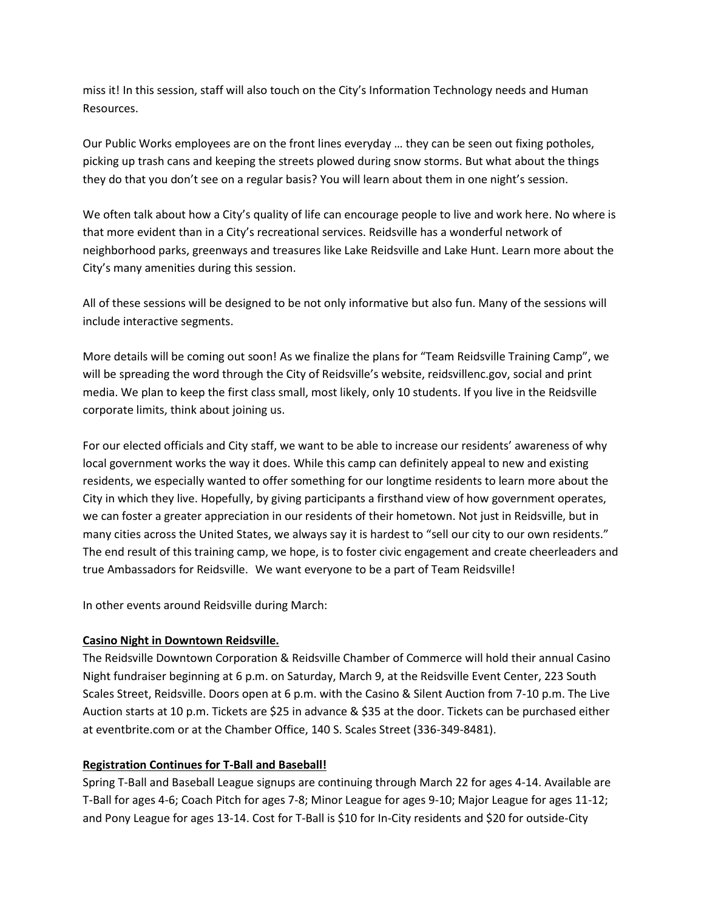miss it! In this session, staff will also touch on the City's Information Technology needs and Human Resources.

Our Public Works employees are on the front lines everyday … they can be seen out fixing potholes, picking up trash cans and keeping the streets plowed during snow storms. But what about the things they do that you don't see on a regular basis? You will learn about them in one night's session.

We often talk about how a City's quality of life can encourage people to live and work here. No where is that more evident than in a City's recreational services. Reidsville has a wonderful network of neighborhood parks, greenways and treasures like Lake Reidsville and Lake Hunt. Learn more about the City's many amenities during this session.

All of these sessions will be designed to be not only informative but also fun. Many of the sessions will include interactive segments.

More details will be coming out soon! As we finalize the plans for "Team Reidsville Training Camp", we will be spreading the word through the City of Reidsville's website, reidsvillenc.gov, social and print media. We plan to keep the first class small, most likely, only 10 students. If you live in the Reidsville corporate limits, think about joining us.

For our elected officials and City staff, we want to be able to increase our residents' awareness of why local government works the way it does. While this camp can definitely appeal to new and existing residents, we especially wanted to offer something for our longtime residents to learn more about the City in which they live. Hopefully, by giving participants a firsthand view of how government operates, we can foster a greater appreciation in our residents of their hometown. Not just in Reidsville, but in many cities across the United States, we always say it is hardest to "sell our city to our own residents." The end result of this training camp, we hope, is to foster civic engagement and create cheerleaders and true Ambassadors for Reidsville. We want everyone to be a part of Team Reidsville!

In other events around Reidsville during March:

## **Casino Night in Downtown Reidsville.**

The Reidsville Downtown Corporation & Reidsville Chamber of Commerce will hold their annual Casino Night fundraiser beginning at 6 p.m. on Saturday, March 9, at the Reidsville Event Center, 223 South Scales Street, Reidsville. Doors open at 6 p.m. with the Casino & Silent Auction from 7-10 p.m. The Live Auction starts at 10 p.m. Tickets are \$25 in advance & \$35 at the door. Tickets can be purchased either at eventbrite.com or at the Chamber Office, 140 S. Scales Street (336-349-8481).

## **Registration Continues for T-Ball and Baseball!**

Spring T-Ball and Baseball League signups are continuing through March 22 for ages 4-14. Available are T-Ball for ages 4-6; Coach Pitch for ages 7-8; Minor League for ages 9-10; Major League for ages 11-12; and Pony League for ages 13-14. Cost for T-Ball is \$10 for In-City residents and \$20 for outside-City